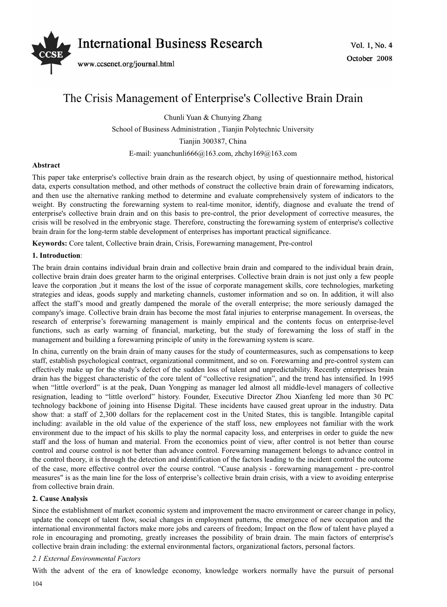

# The Crisis Management of Enterprise's Collective Brain Drain

Chunli Yuan & Chunying Zhang School of Business Administration , Tianjin Polytechnic University Tianjin 300387, China E-mail: yuanchunli666@163.com, zhchy169@163.com

# **Abstract**

This paper take enterprise's collective brain drain as the research object, by using of questionnaire method, historical data, experts consultation method, and other methods of construct the collective brain drain of forewarning indicators, and then use the alternative ranking method to determine and evaluate comprehensively system of indicators to the weight. By constructing the forewarning system to real-time monitor, identify, diagnose and evaluate the trend of enterprise's collective brain drain and on this basis to pre-control, the prior development of corrective measures, the crisis will be resolved in the embryonic stage. Therefore, constructing the forewarning system of enterprise's collective brain drain for the long-term stable development of enterprises has important practical significance.

**Keywords:** Core talent, Collective brain drain, Crisis, Forewarning management, Pre-control

#### **1. Introduction**:

The brain drain contains individual brain drain and collective brain drain and compared to the individual brain drain, collective brain drain does greater harm to the original enterprises. Collective brain drain is not just only a few people leave the corporation ,but it means the lost of the issue of corporate management skills, core technologies, marketing strategies and ideas, goods supply and marketing channels, customer information and so on. In addition, it will also affect the staff's mood and greatly dampened the morale of the overall enterprise; the more seriously damaged the company's image. Collective brain drain has become the most fatal injuries to enterprise management. In overseas, the research of enterprise's forewarning management is mainly empirical and the contents focus on enterprise-level functions, such as early warning of financial, marketing, but the study of forewarning the loss of staff in the management and building a forewarning principle of unity in the forewarning system is scare.

In china, currently on the brain drain of many causes for the study of countermeasures, such as compensations to keep staff, establish psychological contract, organizational commitment, and so on. Forewarning and pre-control system can effectively make up for the study's defect of the sudden loss of talent and unpredictability. Recently enterprises brain drain has the biggest characteristic of the core talent of "collective resignation", and the trend has intensified. In 1995 when "little overlord" is at the peak, Duan Yongping as manager led almost all middle-level managers of collective resignation, leading to "little overlord" history. Founder, Executive Director Zhou Xianfeng led more than 30 PC technology backbone of joining into Hisense Digital. These incidents have caused great uproar in the industry. Data show that: a staff of 2,300 dollars for the replacement cost in the United States, this is tangible. Intangible capital including: available in the old value of the experience of the staff loss, new employees not familiar with the work environment due to the impact of his skills to play the normal capacity loss, and enterprises in order to guide the new staff and the loss of human and material. From the economics point of view, after control is not better than course control and course control is not better than advance control. Forewarning management belongs to advance control in the control theory, it is through the detection and identification of the factors leading to the incident control the outcome of the case, more effective control over the course control. "Cause analysis - forewarning management - pre-control measures" is as the main line for the loss of enterprise's collective brain drain crisis, with a view to avoiding enterprise from collective brain drain.

#### **2. Cause Analysis**

Since the establishment of market economic system and improvement the macro environment or career change in policy, update the concept of talent flow, social changes in employment patterns, the emergence of new occupation and the international environmental factors make more jobs and careers of freedom; Impact on the flow of talent have played a role in encouraging and promoting, greatly increases the possibility of brain drain. The main factors of enterprise's collective brain drain including: the external environmental factors, organizational factors, personal factors.

# *2.1 External Environmental Factors*

With the advent of the era of knowledge economy, knowledge workers normally have the pursuit of personal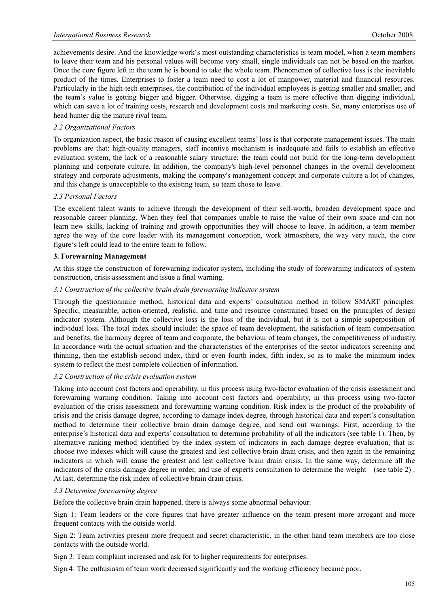# *International Business Research* October 2008

achievements desire. And the knowledge work's most outstanding characteristics is team model, when a team members to leave their team and his personal values will become very small, single individuals can not be based on the market. Once the core figure left in the team he is bound to take the whole team. Phenomenon of collective loss is the inevitable product of the times. Enterprises to foster a team need to cost a lot of manpower, material and financial resources. Particularly in the high-tech enterprises, the contribution of the individual employees is getting smaller and smaller, and the team's value is getting bigger and bigger. Otherwise, digging a team is more effective than digging individual, which can save a lot of training costs, research and development costs and marketing costs. So, many enterprises use of head hunter dig the mature rival team.

# *2.2 Organizational Factors*

To organization aspect, the basic reason of causing excellent teams' loss is that corporate management issues. The main problems are that: high-quality managers, staff incentive mechanism is inadequate and fails to establish an effective evaluation system, the lack of a reasonable salary structure; the team could not build for the long-term development planning and corporate culture. In addition, the company's high-level personnel changes in the overall development strategy and corporate adjustments, making the company's management concept and corporate culture a lot of changes, and this change is unacceptable to the existing team, so team chose to leave.

#### *2.3 Personal Factors*

The excellent talent wants to achieve through the development of their self-worth, broaden development space and reasonable career planning. When they feel that companies unable to raise the value of their own space and can not learn new skills, lacking of training and growth opportunities they will choose to leave. In addition, a team member agree the way of the core leader with its management conception, work atmosphere, the way very much, the core figure's left could lead to the entire team to follow.

# **3. Forewarning Management**

At this stage the construction of forewarning indicator system, including the study of forewarning indicators of system construction, crisis assessment and issue a final warning.

#### *3.1 Construction of the collective brain drain forewarning indicator system*

Through the questionnaire method, historical data and experts' consultation method in follow SMART principles: Specific, measurable, action-oriented, realistic, and time and resource constrained based on the principles of design indicator system. Although the collective loss is the loss of the individual, but it is not a simple superposition of individual loss. The total index should include: the space of team development, the satisfaction of team compensation and benefits, the harmony degree of team and corporate, the behaviour of team changes, the competitiveness of industry. In accordance with the actual situation and the characteristics of the enterprises of the sector indicators screening and thinning, then the establish second index, third or even fourth index, fifth index, so as to make the minimum index system to reflect the most complete collection of information.

#### *3.2 Construction of the crisis evaluation system*

Taking into account cost factors and operability, in this process using two-factor evaluation of the crisis assessment and forewarning warning condition. Taking into account cost factors and operability, in this process using two-factor evaluation of the crisis assessment and forewarning warning condition. Risk index is the product of the probability of crisis and the crisis damage degree, according to damage index degree, through historical data and expert's consultation method to determine their collective brain drain damage degree, and send out warnings. First, according to the enterprise's historical data and experts' consultation to determine probability of all the indicators (see table 1). Then, by alternative ranking method identified by the index system of indicators in each damage degree evaluation, that is: choose two indexes which will cause the greatest and lest collective brain drain crisis, and then again in the remaining indicators in which will cause the greatest and lest collective brain drain crisis. In the same way, determine all the indicators of the crisis damage degree in order, and use of experts consultation to determine the weight (see table 2) . At last, determine the risk index of collective brain drain crisis.

#### *3.3 Determine forewarning degree*

Before the collective brain drain happened, there is always some abnormal behaviour.

Sign 1: Team leaders or the core figures that have greater influence on the team present more arrogant and more frequent contacts with the outside world.

Sign 2: Team activities present more frequent and secret characteristic, in the other hand team members are too close contacts with the outside world.

Sign 3: Team complaint increased and ask for to higher requirements for enterprises.

Sign 4: The enthusiasm of team work decreased significantly and the working efficiency became poor.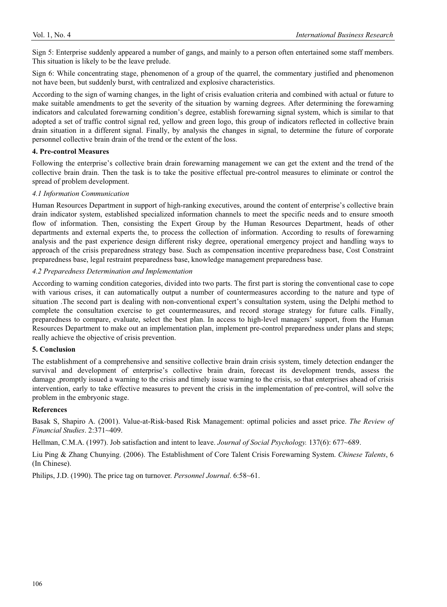Sign 5: Enterprise suddenly appeared a number of gangs, and mainly to a person often entertained some staff members. This situation is likely to be the leave prelude.

Sign 6: While concentrating stage, phenomenon of a group of the quarrel, the commentary justified and phenomenon not have been, but suddenly burst, with centralized and explosive characteristics.

According to the sign of warning changes, in the light of crisis evaluation criteria and combined with actual or future to make suitable amendments to get the severity of the situation by warning degrees. After determining the forewarning indicators and calculated forewarning condition's degree, establish forewarning signal system, which is similar to that adopted a set of traffic control signal red, yellow and green logo, this group of indicators reflected in collective brain drain situation in a different signal. Finally, by analysis the changes in signal, to determine the future of corporate personnel collective brain drain of the trend or the extent of the loss.

#### **4. Pre-control Measures**

Following the enterprise's collective brain drain forewarning management we can get the extent and the trend of the collective brain drain. Then the task is to take the positive effectual pre-control measures to eliminate or control the spread of problem development.

# *4.1 Information Communication*

Human Resources Department in support of high-ranking executives, around the content of enterprise's collective brain drain indicator system, established specialized information channels to meet the specific needs and to ensure smooth flow of information. Then, consisting the Expert Group by the Human Resources Department, heads of other departments and external experts the, to process the collection of information. According to results of forewarning analysis and the past experience design different risky degree, operational emergency project and handling ways to approach of the crisis preparedness strategy base. Such as compensation incentive preparedness base, Cost Constraint preparedness base, legal restraint preparedness base, knowledge management preparedness base.

#### *4.2 Preparedness Determination and Implementation*

According to warning condition categories, divided into two parts. The first part is storing the conventional case to cope with various crises, it can automatically output a number of countermeasures according to the nature and type of situation .The second part is dealing with non-conventional expert's consultation system, using the Delphi method to complete the consultation exercise to get countermeasures, and record storage strategy for future calls. Finally, preparedness to compare, evaluate, select the best plan. In access to high-level managers' support, from the Human Resources Department to make out an implementation plan, implement pre-control preparedness under plans and steps; really achieve the objective of crisis prevention.

#### **5. Conclusion**

The establishment of a comprehensive and sensitive collective brain drain crisis system, timely detection endanger the survival and development of enterprise's collective brain drain, forecast its development trends, assess the damage ,promptly issued a warning to the crisis and timely issue warning to the crisis, so that enterprises ahead of crisis intervention, early to take effective measures to prevent the crisis in the implementation of pre-control, will solve the problem in the embryonic stage.

#### **References**

Basak S, Shapiro A. (2001). Value-at-Risk-based Risk Management: optimal policies and asset price. *The Review of Financial Studies*. 2:371~409.

Hellman, C.M.A. (1997). Job satisfaction and intent to leave. *Journal of Social Psychology.* 137(6): 677~689.

Liu Ping & Zhang Chunying. (2006). The Establishment of Core Talent Crisis Forewarning System. *Chinese Talents*, 6 (In Chinese).

Philips, J.D. (1990). The price tag on turnover. *Personnel Journal*. 6:58~61.